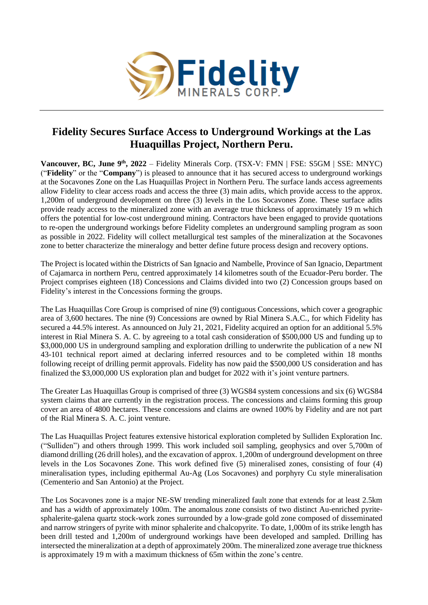

## **Fidelity Secures Surface Access to Underground Workings at the Las Huaquillas Project, Northern Peru.**

**Vancouver, BC, June 9<sup>th</sup>, 2022** – Fidelity Minerals Corp. (TSX-V: FMN | FSE: S5GM | SSE: MNYC) ("**Fidelity**" or the "**Company**") is pleased to announce that it has secured access to underground workings at the Socavones Zone on the Las Huaquillas Project in Northern Peru. The surface lands access agreements allow Fidelity to clear access roads and access the three (3) main adits, which provide access to the approx. 1,200m of underground development on three (3) levels in the Los Socavones Zone. These surface adits provide ready access to the mineralized zone with an average true thickness of approximately 19 m which offers the potential for low-cost underground mining. Contractors have been engaged to provide quotations to re-open the underground workings before Fidelity completes an underground sampling program as soon as possible in 2022. Fidelity will collect metallurgical test samples of the mineralization at the Socavones zone to better characterize the mineralogy and better define future process design and recovery options.

The Project is located within the Districts of San Ignacio and Nambelle, Province of San Ignacio, Department of Cajamarca in northern Peru, centred approximately 14 kilometres south of the Ecuador-Peru border. The Project comprises eighteen (18) Concessions and Claims divided into two (2) Concession groups based on Fidelity's interest in the Concessions forming the groups.

The Las Huaquillas Core Group is comprised of nine (9) contiguous Concessions, which cover a geographic area of 3,600 hectares. The nine (9) Concessions are owned by Rial Minera S.A.C., for which Fidelity has secured a 44.5% interest. As announced on July 21, 2021, Fidelity acquired an option for an additional 5.5% interest in Rial Minera S. A. C. by agreeing to a total cash consideration of \$500,000 US and funding up to \$3,000,000 US in underground sampling and exploration drilling to underwrite the publication of a new NI 43-101 technical report aimed at declaring inferred resources and to be completed within 18 months following receipt of drilling permit approvals. Fidelity has now paid the \$500,000 US consideration and has finalized the \$3,000,000 US exploration plan and budget for 2022 with it's joint venture partners.

The Greater Las Huaquillas Group is comprised of three (3) WGS84 system concessions and six (6) WGS84 system claims that are currently in the registration process. The concessions and claims forming this group cover an area of 4800 hectares. These concessions and claims are owned 100% by Fidelity and are not part of the Rial Minera S. A. C. joint venture.

The Las Huaquillas Project features extensive historical exploration completed by Sulliden Exploration Inc. ("Sulliden") and others through 1999. This work included soil sampling, geophysics and over 5,700m of diamond drilling (26 drill holes), and the excavation of approx. 1,200m of underground development on three levels in the Los Socavones Zone. This work defined five (5) mineralised zones, consisting of four (4) mineralisation types, including epithermal Au-Ag (Los Socavones) and porphyry Cu style mineralisation (Cementerio and San Antonio) at the Project.

The Los Socavones zone is a major NE-SW trending mineralized fault zone that extends for at least 2.5km and has a width of approximately 100m. The anomalous zone consists of two distinct Au-enriched pyritesphalerite-galena quartz stock-work zones surrounded by a low-grade gold zone composed of disseminated and narrow stringers of pyrite with minor sphalerite and chalcopyrite. To date, 1,000m of its strike length has been drill tested and 1,200m of underground workings have been developed and sampled. Drilling has intersected the mineralization at a depth of approximately 200m. The mineralized zone average true thickness is approximately 19 m with a maximum thickness of 65m within the zone's centre.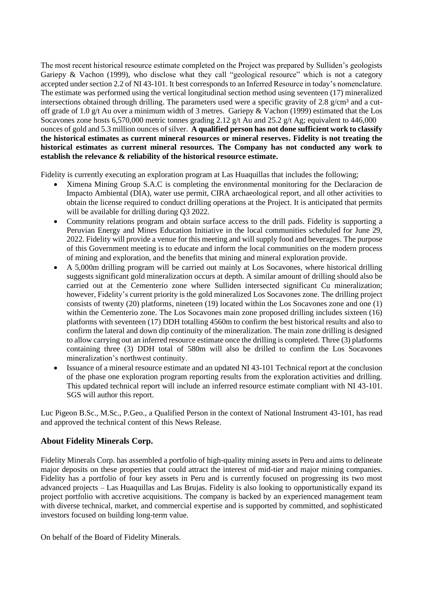The most recent historical resource estimate completed on the Project was prepared by Sulliden's geologists Gariepy & Vachon (1999), who disclose what they call "geological resource" which is not a category accepted under section 2.2 of NI 43-101. It best corresponds to an Inferred Resource in today's nomenclature. The estimate was performed using the vertical longitudinal section method using seventeen (17) mineralized intersections obtained through drilling. The parameters used were a specific gravity of 2.8 g/cm<sup>3</sup> and a cutoff grade of 1.0 g/t Au over a minimum width of 3 metres. Gariepy & Vachon (1999) estimated that the Los Socavones zone hosts 6,570,000 metric tonnes grading 2.12 g/t Au and 25.2 g/t Ag; equivalent to 446,000 ounces of gold and 5.3 million ounces of silver. **A qualified person has not done sufficient work to classify the historical estimates as current mineral resources or mineral reserves. Fidelity is not treating the historical estimates as current mineral resources. The Company has not conducted any work to establish the relevance & reliability of the historical resource estimate.** 

Fidelity is currently executing an exploration program at Las Huaquillas that includes the following;

- Ximena Mining Group S.A.C is completing the environmental monitoring for the Declaracion de Impacto Ambiental (DIA), water use permit, CIRA archaeological report, and all other activities to obtain the license required to conduct drilling operations at the Project. It is anticipated that permits will be available for drilling during Q3 2022.
- Community relations program and obtain surface access to the drill pads. Fidelity is supporting a Peruvian Energy and Mines Education Initiative in the local communities scheduled for June 29, 2022. Fidelity will provide a venue for this meeting and will supply food and beverages. The purpose of this Government meeting is to educate and inform the local communities on the modern process of mining and exploration, and the benefits that mining and mineral exploration provide.
- A 5,000m drilling program will be carried out mainly at Los Socavones, where historical drilling suggests significant gold mineralization occurs at depth. A similar amount of drilling should also be carried out at the Cementerio zone where Sulliden intersected significant Cu mineralization; however, Fidelity's current priority is the gold mineralized Los Socavones zone. The drilling project consists of twenty (20) platforms, nineteen (19) located within the Los Socavones zone and one (1) within the Cementerio zone. The Los Socavones main zone proposed drilling includes sixteen (16) platforms with seventeen (17) DDH totalling 4560m to confirm the best historical results and also to confirm the lateral and down dip continuity of the mineralization. The main zone drilling is designed to allow carrying out an inferred resource estimate once the drilling is completed. Three (3) platforms containing three (3) DDH total of 580m will also be drilled to confirm the Los Socavones mineralization's northwest continuity.
- Issuance of a mineral resource estimate and an updated NI 43-101 Technical report at the conclusion of the phase one exploration program reporting results from the exploration activities and drilling. This updated technical report will include an inferred resource estimate compliant with NI 43-101. SGS will author this report.

Luc Pigeon B.Sc., M.Sc., P.Geo., a Qualified Person in the context of National Instrument 43-101, has read and approved the technical content of this News Release.

## **About Fidelity Minerals Corp.**

Fidelity Minerals Corp. has assembled a portfolio of high-quality mining assets in Peru and aims to delineate major deposits on these properties that could attract the interest of mid-tier and major mining companies. Fidelity has a portfolio of four key assets in Peru and is currently focused on progressing its two most advanced projects – Las Huaquillas and Las Brujas. Fidelity is also looking to opportunistically expand its project portfolio with accretive acquisitions. The company is backed by an experienced management team with diverse technical, market, and commercial expertise and is supported by committed, and sophisticated investors focused on building long-term value.

On behalf of the Board of Fidelity Minerals.